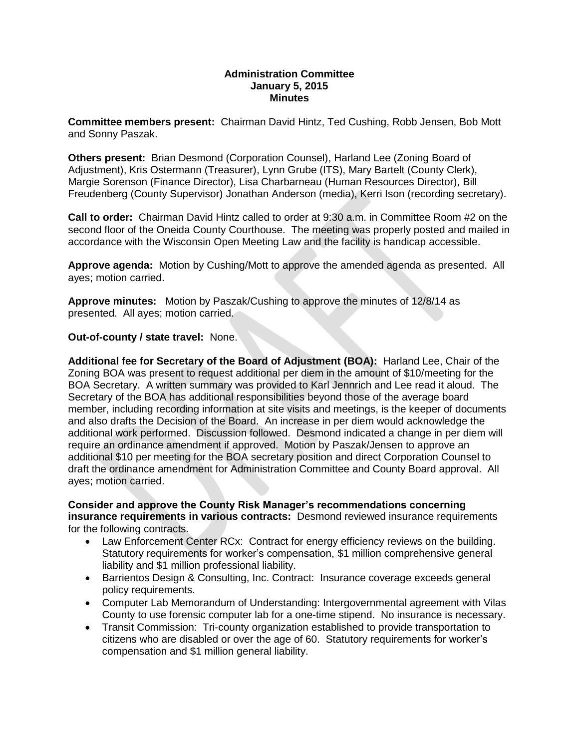## **Administration Committee January 5, 2015 Minutes**

**Committee members present:** Chairman David Hintz, Ted Cushing, Robb Jensen, Bob Mott and Sonny Paszak.

**Others present:** Brian Desmond (Corporation Counsel), Harland Lee (Zoning Board of Adjustment), Kris Ostermann (Treasurer), Lynn Grube (ITS), Mary Bartelt (County Clerk), Margie Sorenson (Finance Director), Lisa Charbarneau (Human Resources Director), Bill Freudenberg (County Supervisor) Jonathan Anderson (media), Kerri Ison (recording secretary).

**Call to order:** Chairman David Hintz called to order at 9:30 a.m. in Committee Room #2 on the second floor of the Oneida County Courthouse. The meeting was properly posted and mailed in accordance with the Wisconsin Open Meeting Law and the facility is handicap accessible.

**Approve agenda:** Motion by Cushing/Mott to approve the amended agenda as presented. All ayes; motion carried.

**Approve minutes:** Motion by Paszak/Cushing to approve the minutes of 12/8/14 as presented. All ayes; motion carried.

**Out-of-county / state travel:** None.

**Additional fee for Secretary of the Board of Adjustment (BOA):** Harland Lee, Chair of the Zoning BOA was present to request additional per diem in the amount of \$10/meeting for the BOA Secretary. A written summary was provided to Karl Jennrich and Lee read it aloud. The Secretary of the BOA has additional responsibilities beyond those of the average board member, including recording information at site visits and meetings, is the keeper of documents and also drafts the Decision of the Board. An increase in per diem would acknowledge the additional work performed. Discussion followed. Desmond indicated a change in per diem will require an ordinance amendment if approved. Motion by Paszak/Jensen to approve an additional \$10 per meeting for the BOA secretary position and direct Corporation Counsel to draft the ordinance amendment for Administration Committee and County Board approval. All ayes; motion carried.

**Consider and approve the County Risk Manager's recommendations concerning insurance requirements in various contracts:** Desmond reviewed insurance requirements for the following contracts.

- Law Enforcement Center RCx: Contract for energy efficiency reviews on the building. Statutory requirements for worker's compensation, \$1 million comprehensive general liability and \$1 million professional liability.
- Barrientos Design & Consulting, Inc. Contract: Insurance coverage exceeds general policy requirements.
- Computer Lab Memorandum of Understanding: Intergovernmental agreement with Vilas County to use forensic computer lab for a one-time stipend. No insurance is necessary.
- Transit Commission: Tri-county organization established to provide transportation to citizens who are disabled or over the age of 60. Statutory requirements for worker's compensation and \$1 million general liability.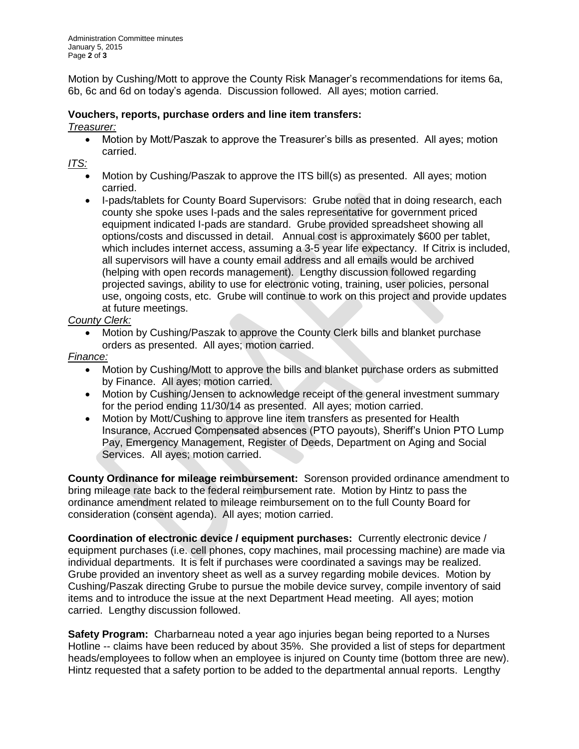Motion by Cushing/Mott to approve the County Risk Manager's recommendations for items 6a, 6b, 6c and 6d on today's agenda. Discussion followed. All ayes; motion carried.

## **Vouchers, reports, purchase orders and line item transfers:**

*Treasurer:*

• Motion by Mott/Paszak to approve the Treasurer's bills as presented. All ayes; motion carried.

*ITS:* 

- Motion by Cushing/Paszak to approve the ITS bill(s) as presented. All ayes; motion carried.
- I-pads/tablets for County Board Supervisors: Grube noted that in doing research, each county she spoke uses I-pads and the sales representative for government priced equipment indicated I-pads are standard. Grube provided spreadsheet showing all options/costs and discussed in detail. Annual cost is approximately \$600 per tablet, which includes internet access, assuming a 3-5 year life expectancy. If Citrix is included, all supervisors will have a county email address and all emails would be archived (helping with open records management). Lengthy discussion followed regarding projected savings, ability to use for electronic voting, training, user policies, personal use, ongoing costs, etc. Grube will continue to work on this project and provide updates at future meetings.

## *County Clerk:*

• Motion by Cushing/Paszak to approve the County Clerk bills and blanket purchase orders as presented. All ayes; motion carried.

## *Finance:*

- Motion by Cushing/Mott to approve the bills and blanket purchase orders as submitted by Finance. All ayes; motion carried.
- Motion by Cushing/Jensen to acknowledge receipt of the general investment summary for the period ending 11/30/14 as presented. All ayes; motion carried.
- Motion by Mott/Cushing to approve line item transfers as presented for Health Insurance, Accrued Compensated absences (PTO payouts), Sheriff's Union PTO Lump Pay, Emergency Management, Register of Deeds, Department on Aging and Social Services. All ayes; motion carried.

**County Ordinance for mileage reimbursement:** Sorenson provided ordinance amendment to bring mileage rate back to the federal reimbursement rate. Motion by Hintz to pass the ordinance amendment related to mileage reimbursement on to the full County Board for consideration (consent agenda). All ayes; motion carried.

**Coordination of electronic device / equipment purchases:** Currently electronic device / equipment purchases (i.e. cell phones, copy machines, mail processing machine) are made via individual departments. It is felt if purchases were coordinated a savings may be realized. Grube provided an inventory sheet as well as a survey regarding mobile devices. Motion by Cushing/Paszak directing Grube to pursue the mobile device survey, compile inventory of said items and to introduce the issue at the next Department Head meeting. All ayes; motion carried. Lengthy discussion followed.

**Safety Program:** Charbarneau noted a year ago injuries began being reported to a Nurses Hotline -- claims have been reduced by about 35%. She provided a list of steps for department heads/employees to follow when an employee is injured on County time (bottom three are new). Hintz requested that a safety portion to be added to the departmental annual reports. Lengthy